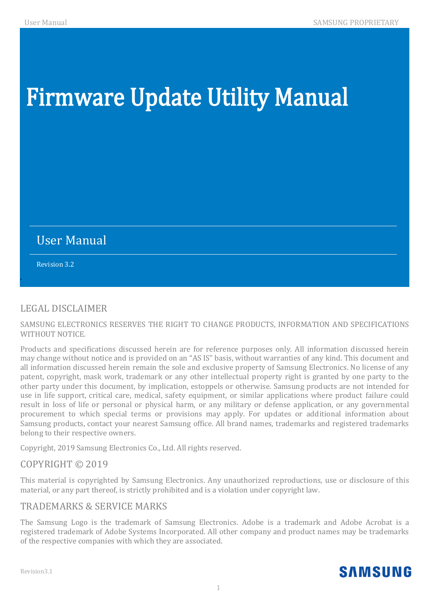## Firmware Update Utility Manual

## User Manual

Revision 3.2

.

#### LEGAL DISCLAIMER

SAMSUNG ELECTRONICS RESERVES THE RIGHT TO CHANGE PRODUCTS, INFORMATION AND SPECIFICATIONS WITHOUT NOTICE.

Products and specifications discussed herein are for reference purposes only. All information discussed herein may change without notice and is provided on an "AS IS" basis, without warranties of any kind. This document and all information discussed herein remain the sole and exclusive property of Samsung Electronics. No license of any patent, copyright, mask work, trademark or any other intellectual property right is granted by one party to the other party under this document, by implication, estoppels or otherwise. Samsung products are not intended for use in life support, critical care, medical, safety equipment, or similar applications where product failure could result in loss of life or personal or physical harm, or any military or defense application, or any governmental procurement to which special terms or provisions may apply. For updates or additional information about Samsung products, contact your nearest Samsung office. All brand names, trademarks and registered trademarks belong to their respective owners.

Copyright, 2019 Samsung Electronics Co., Ltd. All rights reserved.

#### COPYRIGHT © 2019

This material is copyrighted by Samsung Electronics. Any unauthorized reproductions, use or disclosure of this material, or any part thereof, is strictly prohibited and is a violation under copyright law.

#### TRADEMARKS & SERVICE MARKS

The Samsung Logo is the trademark of Samsung Electronics. Adobe is a trademark and Adobe Acrobat is a registered trademark of Adobe Systems Incorporated. All other company and product names may be trademarks of the respective companies with which they are associated.



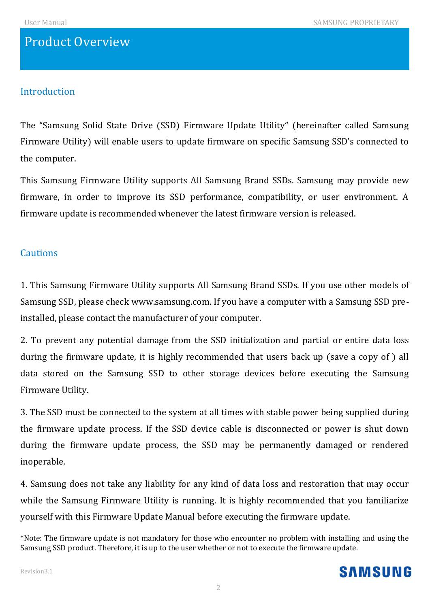## Product Overview

#### Introduction

The "Samsung Solid State Drive (SSD) Firmware Update Utility" (hereinafter called Samsung Firmware Utility) will enable users to update firmware on specific Samsung SSD's connected to the computer.

This Samsung Firmware Utility supports All Samsung Brand SSDs. Samsung may provide new firmware, in order to improve its SSD performance, compatibility, or user environment. A firmware update is recommended whenever the latest firmware version is released.

#### **Cautions**

1. This Samsung Firmware Utility supports All Samsung Brand SSDs. If you use other models of Samsung SSD, please check www.samsung.com. If you have a computer with a Samsung SSD preinstalled, please contact the manufacturer of your computer.

2. To prevent any potential damage from the SSD initialization and partial or entire data loss during the firmware update, it is highly recommended that users back up (save a copy of ) all data stored on the Samsung SSD to other storage devices before executing the Samsung Firmware Utility.

3. The SSD must be connected to the system at all times with stable power being supplied during the firmware update process. If the SSD device cable is disconnected or power is shut down during the firmware update process, the SSD may be permanently damaged or rendered inoperable.

4. Samsung does not take any liability for any kind of data loss and restoration that may occur while the Samsung Firmware Utility is running. It is highly recommended that you familiarize yourself with this Firmware Update Manual before executing the firmware update.

\*Note: The firmware update is not mandatory for those who encounter no problem with installing and using the Samsung SSD product. Therefore, it is up to the user whether or not to execute the firmware update.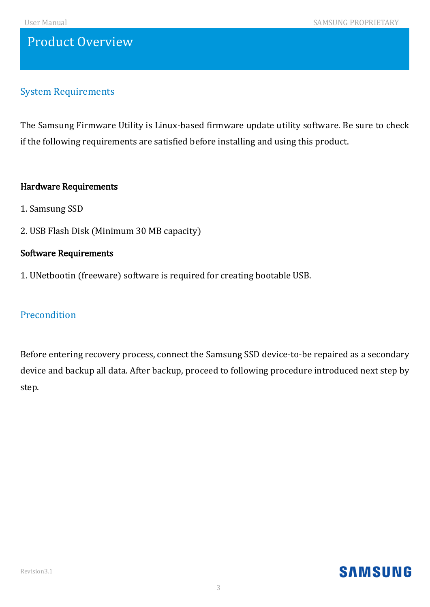## Product Overview

#### System Requirements

The Samsung Firmware Utility is Linux-based firmware update utility software. Be sure to check if the following requirements are satisfied before installing and using this product.

#### Hardware Requirements

- 1. Samsung SSD
- 2. USB Flash Disk (Minimum 30 MB capacity)

#### Software Requirements

1. UNetbootin (freeware) software is required for creating bootable USB.

#### Precondition

Before entering recovery process, connect the Samsung SSD device-to-be repaired as a secondary device and backup all data. After backup, proceed to following procedure introduced next step by step.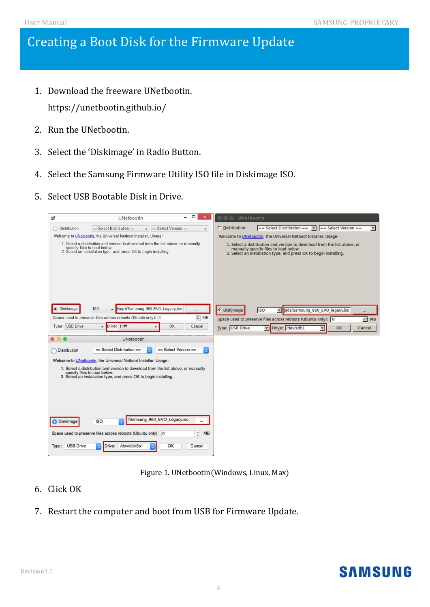## Creating a Boot Disk for the Firmware Update

- 1. Download the freeware UNetbootin. https://unetbootin.github.io/
- 2. Run the UNetbootin.
- 3. Select the 'Diskimage' in Radio Button.
- 4. Select the Samsung Firmware Utility ISO file in Diskimage ISO.
- 5. Select USB Bootable Disk in Drive.



Figure 1. UNetbootin(Windows, Linux, Max)

- 6. Click OK
- 7. Restart the computer and boot from USB for Firmware Update.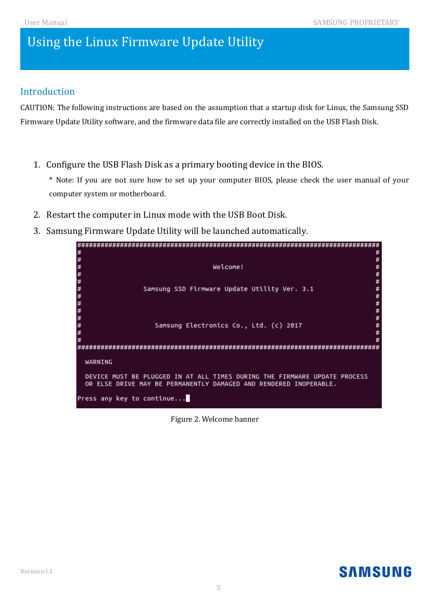#### Introduction

CAUTION: The following instructions are based on the assumption that a startup disk for Linux, the Samsung SSD Firmware Update Utility software, and the firmware data file are correctly installed on the USB Flash Disk.

1. Configure the USB Flash Disk as a primary booting device in the BIOS.

\* Note: If you are not sure how to set up your computer BIOS, please check the user manual of your computer system or motherboard.

- 2. Restart the computer in Linux mode with the USB Boot Disk.
- 3. Samsung Firmware Update Utility will be launched automatically.



Figure 2. Welcome banner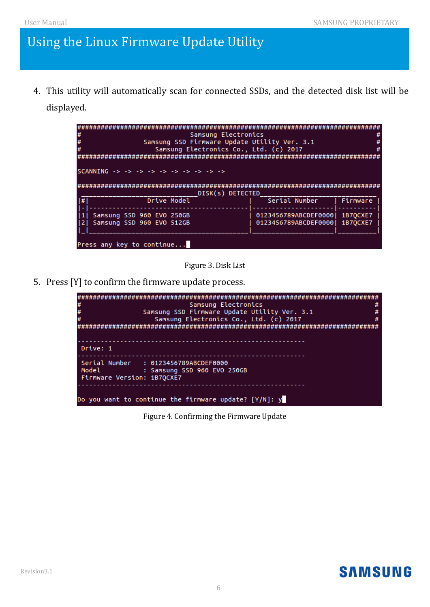4. This utility will automatically scan for connected SSDs, and the detected disk list will be displayed.

|                                              | Samsung Electronics                          |                                |                 |  |
|----------------------------------------------|----------------------------------------------|--------------------------------|-----------------|--|
|                                              | Samsung SSD Firmware Update Utility Ver. 3.1 |                                |                 |  |
|                                              | Samsung Electronics Co., Ltd. (c) 2017       |                                |                 |  |
|                                              |                                              |                                |                 |  |
|                                              |                                              |                                |                 |  |
| SCANNING<br>$-5 - 5 - 5 - 5 - 5 - 5 - 5 - 5$ |                                              |                                |                 |  |
|                                              |                                              |                                |                 |  |
|                                              | DISK(s) DETECTED                             |                                |                 |  |
|                                              | Drive Model                                  | Serial Number                  | Firmware        |  |
|                                              |                                              |                                |                 |  |
|                                              | Samsung SSD 960 EVO 250GB                    | 0123456789ABCDEF00001          | <b>1B70CXE7</b> |  |
|                                              | Samsung SSD 960 EVO 512GB                    | 0123456789ABCDEF0000  1B70CXE7 |                 |  |
|                                              |                                              |                                |                 |  |
|                                              |                                              |                                |                 |  |
| Press any key to continue                    |                                              |                                |                 |  |
|                                              |                                              |                                |                 |  |

Figure 3. Disk List

5. Press [Y] to confirm the firmware update process.

| Samsung Electronics<br>#<br>Samsung SSD Firmware Update Utility Ver. 3.1<br>Samsung Electronics Co., Ltd. (c) 2017 |  |
|--------------------------------------------------------------------------------------------------------------------|--|
| Drive: 1                                                                                                           |  |
| Serial Number : 0123456789ABCDEF0000<br>Model<br>: Samsung SSD 960 EVO 250GB<br>Firmware Version: 1B70CXE7         |  |
| Do you want to continue the firmware update? $[Y/N]$ : y                                                           |  |

Figure 4. Confirming the Firmware Update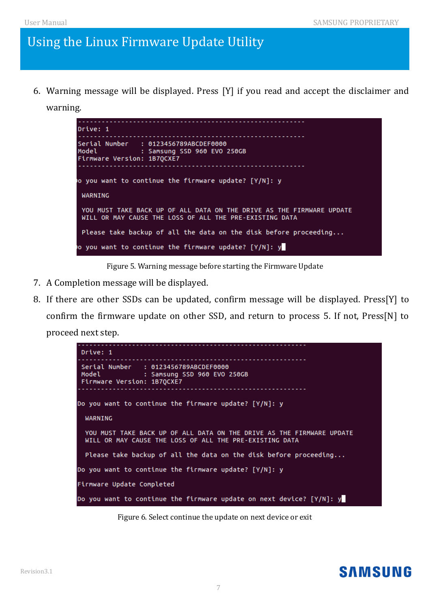6. Warning message will be displayed. Press [Y] if you read and accept the disclaimer and warning.

| Drive: 1                                                                                                                         |
|----------------------------------------------------------------------------------------------------------------------------------|
| Serial Number : 0123456789ABCDEF0000<br>Model : Samsung SSD 960 EVO 250GB<br>Firmware Version: 1B7OCXE7                          |
| o you want to continue the firmware update? [Y/N]: y                                                                             |
| WARNING                                                                                                                          |
| YOU MUST TAKE BACK UP OF ALL DATA ON THE DRIVE AS THE FIRMWARE UPDATE<br>WILL OR MAY CAUSE THE LOSS OF ALL THE PRE-EXISTING DATA |
| Please take backup of all the data on the disk before proceeding                                                                 |
| o you want to continue the firmware update? $[Y/N]:$ y                                                                           |

Figure 5. Warning message before starting the Firmware Update

- 7. A Completion message will be displayed.
- 8. If there are other SSDs can be updated, confirm message will be displayed. Press[Y] to confirm the firmware update on other SSD, and return to process 5. If not, Press[N] to proceed next step.



Figure 6. Select continue the update on next device or exit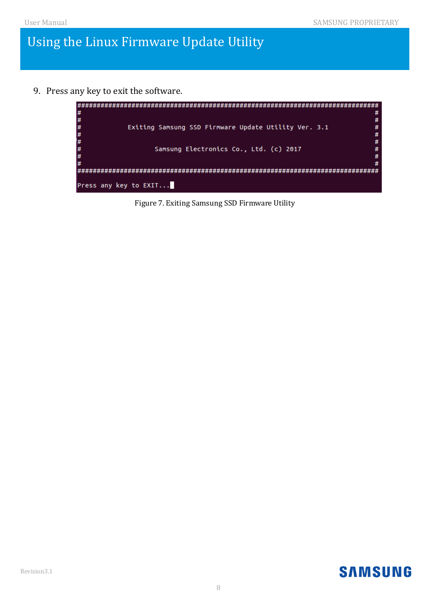9. Press any key to exit the software.



Figure 7. Exiting Samsung SSD Firmware Utility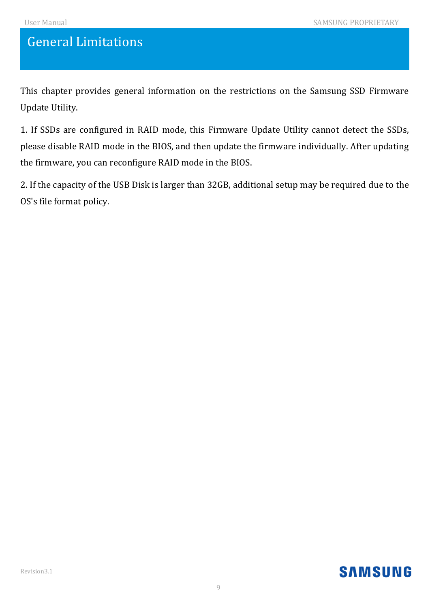## General Limitations

This chapter provides general information on the restrictions on the Samsung SSD Firmware Update Utility.

1. If SSDs are configured in RAID mode, this Firmware Update Utility cannot detect the SSDs, please disable RAID mode in the BIOS, and then update the firmware individually. After updating the firmware, you can reconfigure RAID mode in the BIOS.

2. If the capacity of the USB Disk is larger than 32GB, additional setup may be required due to the OS's file format policy.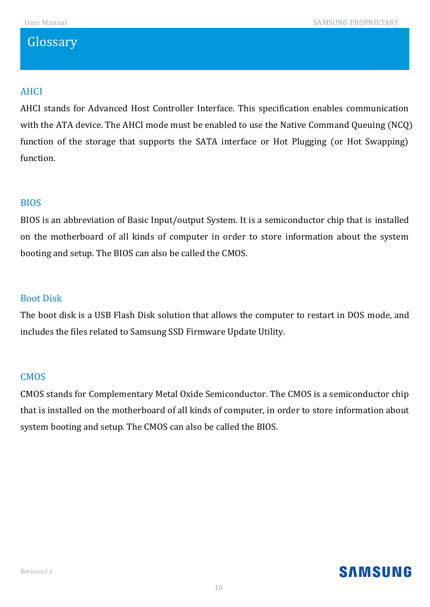## Glossary

#### **AHCI**

AHCI stands for Advanced Host Controller Interface. This specification enables communication with the ATA device. The AHCI mode must be enabled to use the Native Command Queuing (NCQ) function of the storage that supports the SATA interface or Hot Plugging (or Hot Swapping) function.

#### BIOS

BIOS is an abbreviation of Basic Input/output System. It is a semiconductor chip that is installed on the motherboard of all kinds of computer in order to store information about the system booting and setup. The BIOS can also be called the CMOS.

#### Boot Disk

The boot disk is a USB Flash Disk solution that allows the computer to restart in DOS mode, and includes the files related to Samsung SSD Firmware Update Utility.

#### **CMOS**

CMOS stands for Complementary Metal Oxide Semiconductor. The CMOS is a semiconductor chip that is installed on the motherboard of all kinds of computer, in order to store information about system booting and setup. The CMOS can also be called the BIOS.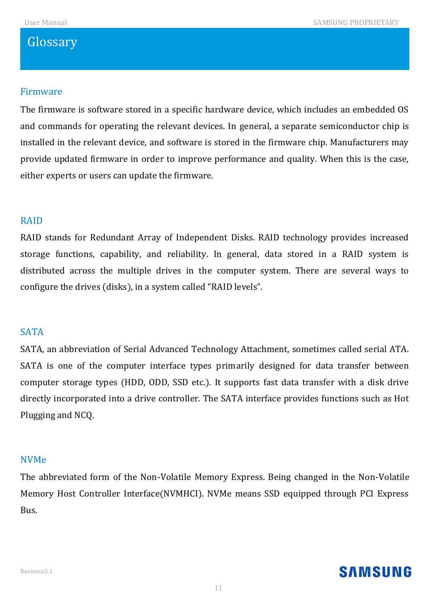## Glossary

#### Firmware

The firmware is software stored in a specific hardware device, which includes an embedded OS and commands for operating the relevant devices. In general, a separate semiconductor chip is installed in the relevant device, and software is stored in the firmware chip. Manufacturers may provide updated firmware in order to improve performance and quality. When this is the case, either experts or users can update the firmware.

#### RAID

RAID stands for Redundant Array of Independent Disks. RAID technology provides increased storage functions, capability, and reliability. In general, data stored in a RAID system is distributed across the multiple drives in the computer system. There are several ways to configure the drives (disks), in a system called "RAID levels".

#### SATA

SATA, an abbreviation of Serial Advanced Technology Attachment, sometimes called serial ATA. SATA is one of the computer interface types primarily designed for data transfer between computer storage types (HDD, ODD, SSD etc.). It supports fast data transfer with a disk drive directly incorporated into a drive controller. The SATA interface provides functions such as Hot Plugging and NCQ.

#### NVMe

The abbreviated form of the Non-Volatile Memory Express. Being changed in the Non-Volatile Memory Host Controller Interface(NVMHCI). NVMe means SSD equipped through PCI Express Bus.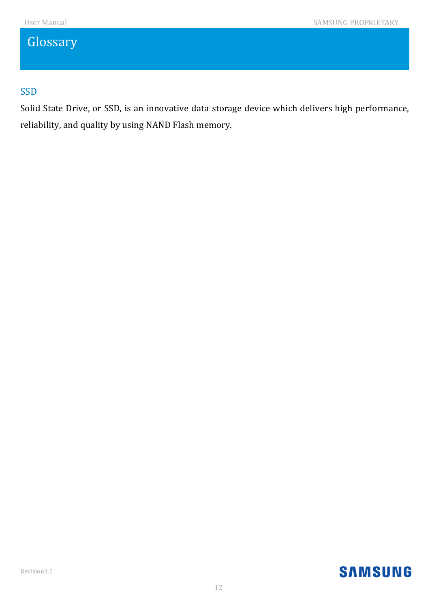## Glossary

#### SSD

Solid State Drive, or SSD, is an innovative data storage device which delivers high performance, reliability, and quality by using NAND Flash memory.